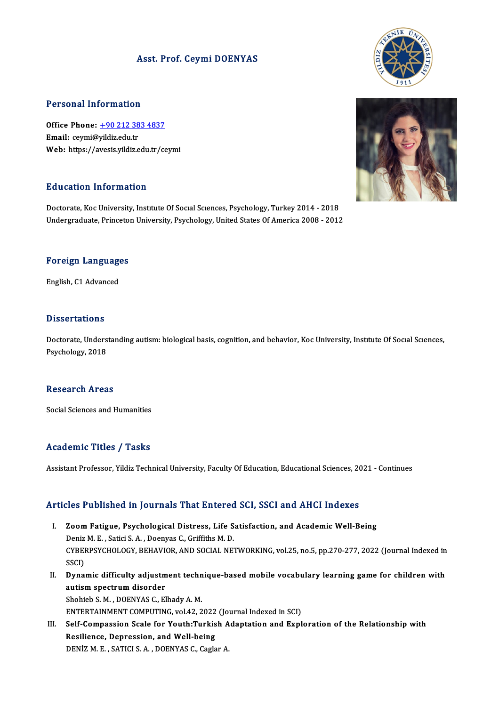### Asst. Prof. Ceymi DOENYAS



Office Phone: +90 212 383 4837 Email: ceymi@yildiz.edu.tr Web: https://a[vesis.yildiz.edu.tr/ce](tel:+90 212 383 4837)ymi

### Education Information

Education Information<br>Doctorate, Koc University, Institute Of Social Sciences, Psychology, Turkey 2014 - 2018<br>Undergraduate Prinsston University, Psychology, United States Of America 2008 - 2013 Du d'outron Throt mueron<br>Doctorate, Koc University, Institute Of Social Sciences, Psychology, Turkey 2014 - 2018<br>Undergraduate, Princeton University, Psychology, United States Of America 2008 - 2012

## Foreign Languages <mark>Foreign Language</mark><br>English, C1 Advanced

English, C1 Advanced<br>Dissertations

Doctorate, Understanding autism: biological basis, cognition, and behavior, Koc University, Institute Of Social Sciences, Psychology,2018

### **Research Areas**

Social Sciences and Humanities

### Academic Titles / Tasks

Assistant Professor, Yildiz Technical University, Faculty Of Education, Educational Sciences, 2021 - Continues

### Articles Published in Journals That Entered SCI, SSCI and AHCI Indexes

- rticles Published in Journals That Entered SCI, SSCI and AHCI Indexes<br>I. Zoom Fatigue, Psychological Distress, Life Satisfaction, and Academic Well-Being<br>PenizM E. Satigi S.A., Deenves G. Criffithe M.D. Nes Tubilisticum Journalis Thue Enter on<br>Zoom Fatigue, Psychological Distress, Life S.<br>Deniz M. E., Satici S. A., Doenyas C., Griffiths M. D.<br>CYREPREVCHOLOCY REHAVIOR AND SOCIAL NE CYBERPSYCHOLOGY, BEHAVIOR, AND SOCIAL NETWORKING, vol.25, no.5, pp.270-277, 2022 (Journal Indexed in SSCI) Deniz M. E., Satici S. A., Doenyas C., Griffiths M. D. CYBERPSYCHOLOGY, BEHAVIOR, AND SOCIAL NETWORKING, vol.25, no.5, pp.270-277, 2022 (Journal Indexed in<br>SSCI)<br>II. Dynamic difficulty adjustment technique-based mobile vocabulary learning game for children with<br>aution spectrum
- SSCI)<br>Dynamic difficulty adjustm<br>autism spectrum disorder<br>Shebieb S.M., DOENVAS C. El **Dynamic difficulty adjustment techn<br>autism spectrum disorder<br>Shohieb S. M. , DOENYAS C., Elhady A. M.<br>ENTERTAINMENT COMPUTING .vol.42-2** autism spectrum disorder<br>Shohieb S. M. , DOENYAS C., Elhady A. M.<br>ENTERTAINMENT COMPUTING, vol.42, 2022 (Journal Indexed in SCI) Shohieb S. M. , DOENYAS C., Elhady A. M.<br>ENTERTAINMENT COMPUTING, vol.42, 2022 (Journal Indexed in SCI)<br>III. Self-Compassion Scale for Youth:Turkish Adaptation and Exploration of the Relationship with<br>Pesilianse, Denressio

ENTERTAINMENT COMPUTING, vol.42, 2022<br>Self-Compassion Scale for Youth:Turkis<br>Resilience, Depression, and Well-being Self-Compassion Scale for Youth:Turkish A<br>Resilience, Depression, and Well-being<br>DENİZ M. E. , SATICI S. A. , DOENYAS C., Caglar A.



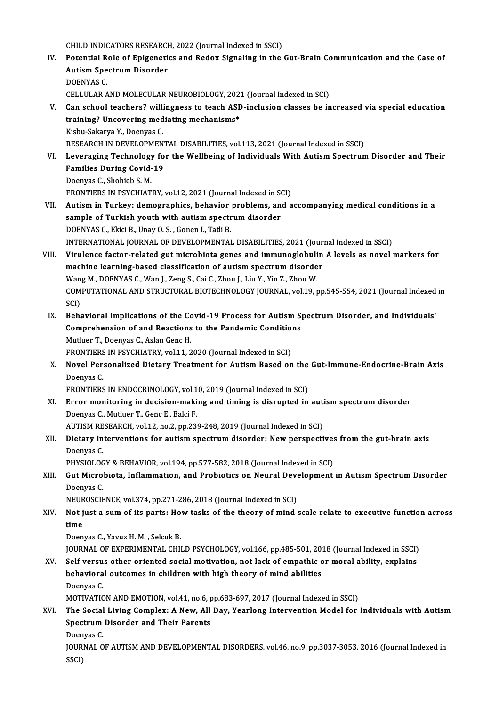CHILD INDICATORS RESEARCH, 2022 (Journal Indexed in SSCI)<br>Petential Pela of Enixonatics and Peday Siznaling in the

- CHILD INDICATORS RESEARCH, 2022 (Journal Indexed in SSCI)<br>IV. Potential Role of Epigenetics and Redox Signaling in the Gut-Brain Communication and the Case of CHILD INDICATORS RESEARCI<br>Potential Role of Epigeneti<br>Autism Spectrum Disorder<br>DOENVAS C Potential R<br>Autism Spe<br>DOENYAS C.<br>CELLIU AP A Autism Spectrum Disorder<br>DOENYAS C.<br>CELLULAR AND MOLECULAR NEUROBIOLOGY, 2021 (Journal Indexed in SCI)<br>Can school teachers? willingness to teach ASD, inclusion classes he in DOENYAS C.<br>CELLULAR AND MOLECULAR NEUROBIOLOGY, 2021 (Journal Indexed in SCI)<br>V. Can school teachers? willingness to teach ASD-inclusion classes be increased via special education
- CELLULAR AND MOLECULAR NEUROBIOLOGY, 202<br>Can school teachers? willingness to teach ASD<br>training? Uncovering mediating mechanisms\* training? Uncovering mediating mechanisms\*<br>Kisbu-Sakarya Y., Doenyas C. RESEARCH IN DEVELOPMENTAL DISABILITIES, vol.113, 2021 (Journal Indexed in SSCI) Kisbu-Sakarya Y., Doenyas C.<br>RESEARCH IN DEVELOPMENTAL DISABILITIES, vol.113, 2021 (Journal Indexed in SSCI)<br>VI. Leveraging Technology for the Wellbeing of Individuals With Autism Spectrum Disorder and Their<br>Families D
- RESEARCH IN DEVELOPMENT<br>Leveraging Technology fo<br>Families During Covid-19<br>Deenves C. Shebieb S. M Leveraging Technology<br>Families During Covid-<br>Doenyas C., Shohieb S. M.<br>EPONTIEDS IN PSYCHIAT Families During Covid-19<br>Doenyas C., Shohieb S. M.<br>FRONTIERS IN PSYCHIATRY, vol.12, 2021 (Journal Indexed in SCI)
- Doenyas C., Shohieb S. M.<br>FRONTIERS IN PSYCHIATRY, vol.12, 2021 (Journal Indexed in SCI)<br>VII. Autism in Turkey: demographics, behavior problems, and accompanying medical conditions in a<br>sample of Turkish youth with out FRONTIERS IN PSYCHIATRY, vol.12, 2021 (Journal Indexed in Solutism in Turkey: demographics, behavior problems, an sample of Turkish youth with autism spectrum disorder<br>DOENVAS C. Flugi P. Unay O. S. Conon L. Tatli P. sample of Turkish youth with autism spectrum disorder<br>DOENYAS C., Ekici B., Unay O. S., Gonen I., Tatli B. sample of Turkish youth with autism spectrum disorder<br>DOENYAS C., Ekici B., Unay O. S. , Gonen I., Tatli B.<br>INTERNATIONAL JOURNAL OF DEVELOPMENTAL DISABILITIES, 2021 (Journal Indexed in SSCI)<br>Vinulance fector related gut m
- VIII. Virulence factor-related gut microbiota genes and immunoglobulin A levels as novel markers for machine learning-based classification of autism spectrum disorder INTERNATIONAL JOURNAL OF DEVELOPMENTAL DISABILITIES, 2021 (Jour<br>Virulence factor-related gut microbiota genes and immunoglobulin<br>machine learning-based classification of autism spectrum disorder<br>Wang M. DOENVAS C. Wan L. Z Virulence factor-related gut microbiota genes and immunoglobuli<br>machine learning-based classification of autism spectrum disorde<br>Wang M., DOENYAS C., Wan J., Zeng S., Cai C., Zhou J., Liu Y., Yin Z., Zhou W.<br>COMBUTATIONAL COMPUTATIONAL AND STRUCTURAL BIOTECHNOLOGY JOURNAL, vol.19, pp.545-554, 2021 (Journal Indexed in SCI) Wan<br>COM<br>SCI)<br>Boh: COMPUTATIONAL AND STRUCTURAL BIOTECHNOLOGY JOURNAL, vol.19, pp.545-554, 2021 (Journal Indexed<br>SCI)<br>IX. Behavioral Implications of the Covid-19 Process for Autism Spectrum Disorder, and Individuals'<br>Comprehension of and Bea
	- SCI)<br>Behavioral Implications of the Covid-19 Process for Autism S<sub>|</sub><br>Comprehension of and Reactions to the Pandemic Conditions<br>Mutluer T. Deenves C. Aslan Cons H Behavioral Implications of the Conditions<br>Comprehension of and Reactions<br>Mutluer T., Doenyas C., Aslan Genc H.<br>EPONTIERS IN REVCHIATRY vol.11-2 Comprehension of and Reactions to the Pandemic Conditions<br>Mutluer T., Doenyas C., Aslan Genc H. FRONTIERS IN PSYCHIATRY, vol.11, 2020 (Journal Indexed in SCI)
	- X. Novel Personalized Dietary Treatment for Autism Based on the Gut-Immune-Endocrine-Brain Axis<br>Doenyas C. Novel Personalized Dietary Treatment for Autism Based on the<br>Doenyas C.<br>FRONTIERS IN ENDOCRINOLOGY, vol.10, 2019 (Journal Indexed in SCI)<br>Frees monitoring in doctains making and timing is discussed in

XI. Error monitoring in decision-making and timing is disrupted in autism spectrum disorder<br>Doenyas C., Mutluer T., Genc E., Balci F. FRONTIERS IN ENDOCRINOLOGY, vol.1<br>Error monitoring in decision-maki<br>Doenyas C., Mutluer T., Genc E., Balci F.<br>AUTISM BESEARCH vol.12 no.2 np.22 Error monitoring in decision-making and timing is disrupted in auti<br>Doenyas C., Mutluer T., Genc E., Balci F.<br>AUTISM RESEARCH, vol.12, no.2, pp.239-248, 2019 (Journal Indexed in SCI)<br>Distany interventions for autiom apertr

Doenyas C., Mutluer T., Genc E., Balci F.<br>AUTISM RESEARCH, vol.12, no.2, pp.239-248, 2019 (Journal Indexed in SCI)<br>XII. Dietary interventions for autism spectrum disorder: New perspectives from the gut-brain axis<br>Deepy AUTISM RE<br><mark>Dietary in</mark><br>Doenyas C.<br>PHYSIOLOC Dietary interventions for autism spectrum disorder: New perspectives<br>Doenyas C.<br>PHYSIOLOGY & BEHAVIOR, vol.194, pp.577-582, 2018 (Journal Indexed in SCI)<br>Cut Mispobiata, Inflammation, and Probiatiss on Noural Davelonment.

PHYSIOLOGY & BEHAVIOR, vol.194, pp.577-582, 2018 (Journal Indexed in SCI)

### Doenyas C.<br>PHYSIOLOGY & BEHAVIOR, vol.194, pp.577-582, 2018 (Journal Indexed in SCI)<br>XIII. Gut Microbiota, Inflammation, and Probiotics on Neural Development in Autism Spectrum Disorder<br>Doenyas C. Gut Microbiota, Inflammation, and Probiotics on Neural Deve<br>Doenyas C.<br>NEUROSCIENCE, vol.374, pp.271-286, 2018 (Journal Indexed in SCI)<br>Net just a sum of its parts: How tasks of the theory of mind (

- Doenyas C.<br>NEUROSCIENCE, vol.374, pp.271-286, 2018 (Journal Indexed in SCI)<br>XIV. Not just a sum of its parts: How tasks of the theory of mind scale relate to executive function across<br>time NEUR<br>Not j<br>time<br><sup>Doom</sup> Not just a sum of its parts: Ho<br>time<br>Doenyas C., Yavuz H. M. , Selcuk B.<br>JOUPNAL OF EXPEPIMENTAL CHU time<br>Doenyas C., Yavuz H. M. , Selcuk B.<br>JOURNAL OF EXPERIMENTAL CHILD PSYCHOLOGY, vol.166, pp.485-501, 2018 (Journal Indexed in SSCI)<br>Self yersus other eriented social metiyation, not lesk of emnathis er merel shility, ey
	-

Doenyas C., Yavuz H. M. , Selcuk B.<br>JOURNAL OF EXPERIMENTAL CHILD PSYCHOLOGY, vol.166, pp.485-501, 2018 (Journal Indexed in SSCI)<br>XV. Self versus other oriented social motivation, not lack of empathic or moral ability, exp JOURNAL OF EXPERIMENTAL CHILD PSYCHOLOGY, vol.166, pp.485-501, 20<br>Self versus other oriented social motivation, not lack of empathic c<br>behavioral outcomes in children with high theory of mind abilities<br>Deenves C XV. Self versus other oriented social motivation, not lack of empathic or moral ability, explains<br>behavioral outcomes in children with high theory of mind abilities<br>Doenyas C. behavioral outcomes in children with high theory of mind abilities<br>Doenyas C.<br>MOTIVATION AND EMOTION, vol.41, no.6, pp.683-697, 2017 (Journal Indexed in SSCI)<br>The Secial Living Complex: A New, All Dey, Veerlang Interventio

XVI. The Social Living Complex: A New, All Day, Yearlong Intervention Model for Individuals with Autism MOTIVATION AND EMOTION, vol.41, no.6, p<br>The Social Living Complex: A New, All<br>Spectrum Disorder and Their Parents<br>Deenves C Spectrum Disorder and Their Parents<br>Doenyas C. Spectrum Disorder and Their Parents<br>Doenyas C.<br>JOURNAL OF AUTISM AND DEVELOPMENTAL DISORDERS, vol.46, no.9, pp.3037-3053, 2016 (Journal Indexed in<br>SSCD

Doen<br>JOUR<br>SSCI)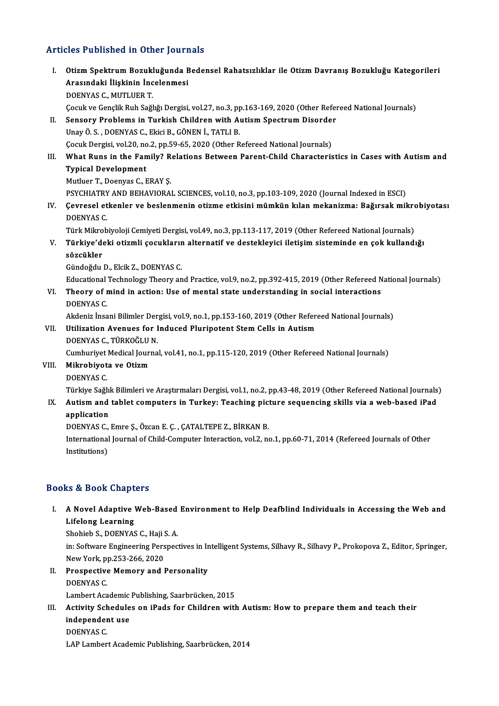### Articles Published in Other Journals

rticles Published in Other Journals<br>I. Otizm Spektrum Bozukluğunda Bedensel Rahatsızlıklar ile Otizm Davranış Bozukluğu Kategorileri<br>Arasındaki İliskinin İnsalanmasi Arasındaki İlişkinin İlişkinin İncelenmesi<br>Arasındaki İlişkinin İncelenmesi<br>DOENVAS G. MUTUER T Arasındaki İlişkinin İncelenmesi<br>DOENYAS C., MUTLUER T. Arasındaki İlişkinin İncelenmesi<br>DOENYAS C., MUTLUER T.<br>Çocuk ve Gençlik Ruh Sağlığı Dergisi, vol.27, no.3, pp.163-169, 2020 (Other Refereed National Journals)<br>Sangany Brahlama in Turkish Childran with Autiam Spectrum Disa DOENYAS C., MUTLUER T.<br>Cocuk ve Gençlik Ruh Sağlığı Dergisi, vol.27, no.3, pp.163-169, 2020 (Other Refer<br>II. Sensory Problems in Turkish Children with Autism Spectrum Disorder<br>Unav Ö.S., DOENYAS G. Elisi B. CÖNEN İ. TATLLE

- II. Sensory Problems in Turkish Children with Autism Spectrum Disorder<br>Unay Ö.S., DOENYAS C., Ekici B., GÖNEN İ., TATLI B. Sensory Problems in Turkish Children with Autism Spectrum Disorder<br>Unay Ö. S. , DOENYAS C., Ekici B., GÖNEN İ., TATLI B.<br>Çocuk Dergisi, vol.20, no.2, pp.59-65, 2020 (Other Refereed National Journals)<br>What Buns in the Famil
- Unay Ö. S. , DOENYAS C., Ekici B., GÖNEN İ., TATLI B.<br>Cocuk Dergisi, vol.20, no.2, pp.59-65, 2020 (Other Refereed National Journals)<br>III. What Runs in the Family? Relations Between Parent-Child Characteristics in Cases wit Cocuk Dergisi, vol.20, no<br>What Runs in the Fan<br>Typical Development<br>Muther T. Deenwe C. L What Runs in the Family? R<br>Typical Development<br>Mutluer T., Doenyas C., ERAY Ş.<br>PSYCHIATPY AND PEHAVIOPA! Typical Development<br>Mutluer T., Doenyas C., ERAY Ş.<br>PSYCHIATRY AND BEHAVIORAL SCIENCES, vol.10, no.3, pp.103-109, 2020 (Journal Indexed in ESCI)

Mutluer T., Doenyas C., ERAY Ş.<br>PSYCHIATRY AND BEHAVIORAL SCIENCES, vol.10, no.3, pp.103-109, 2020 (Journal Indexed in ESCI)<br>IV. Çevresel etkenler ve beslenmenin otizme etkisini mümkün kılan mekanizma: Bağırsak mikrobi PSYCHIATRY<br>Cevresel et<br>DOENYAS C.<br>Türk Mikrob Çevresel etkenler ve beslenmenin otizme etkisini mümkün kılan mekanizma: Bağırsak mikro<br>DOENYAS C.<br>TürkMikrobiyoloji Cemiyeti Dergisi, vol.49, no.3, pp.113-117, 2019 (Other Refereed National Journals)<br>Türkiye'deki etirmli

DOENYAS C.<br>Türk Mikrobiyoloji Cemiyeti Dergisi, vol.49, no.3, pp.113-117, 2019 (Other Refereed National Journals)<br>V. Türkiye'deki otizmli çocukların alternatif ve destekleyici iletişim sisteminde en çok kullandığı<br>Gözg Türk Mikro<br><mark>Türkiye'de</mark><br>sözcükler<br>Gürdeğdu Türkiye'deki otizmli çocuklarır<br>sözcükler<br>Gündoğdu D., Elcik Z., DOENYAS C.<br>Educational Technology Theory on sözcükler<br>Gündoğdu D., Elcik Z., DOENYAS C.<br>Educational Technology Theory and Practice, vol.9, no.2, pp.392-415, 2019 (Other Refereed National Journals)<br>Theory of mind in action: Use of montel state understanding in social

Gündoğdu D., Elcik Z., DOENYAS C.<br>Educational Technology Theory and Practice, vol.9, no.2, pp.392-415, 2019 (Other Refereed N<br>VI. Theory of mind in action: Use of mental state understanding in social interactions<br>DOENYAS C Educational<br>Theory of r<br>DOENYAS C.<br>Akdoniz hes Theory of mind in action: Use of mental state understanding in social interactions<br>DOENYAS C.<br>Akdeniz İnsani Bilimler Dergisi, vol.9, no.1, pp.153-160, 2019 (Other Refereed National Journals)<br>Htiligation Avenues for Induse

VII. Utilization Avenues for Induced Pluripotent Stem Cells in Autism<br>DOENYAS C., TÜRKOĞLU N. Akdeniz İnsani Bilimler Der<br>Utilization Avenues for I<br>DOENYAS C., TÜRKOĞLU N.<br>Cumburiyat Madisəl Iourna Utilization Avenues for Induced Pluripotent Stem Cells in Autism<br>DOENYAS C., TÜRKOĞLU N.<br>Cumhuriyet Medical Journal, vol.41, no.1, pp.115-120, 2019 (Other Refereed National Journals)<br>Mikrobiyeta ve Otizm

VIII. Mikrobiyota ve Otizm<br>DOENYAS C. Cumhuriyet<br>Mi<mark>krobiyot</mark><br>DOENYAS C.<br>Türkiye Sağl

Mikrobiyota ve Otizm<br>DOENYAS C.<br>Türkiye Sağlık Bilimleri ve Araştırmaları Dergisi, vol.1, no.2, pp.43-48, 2019 (Other Refereed National Journals)<br>Autism and tablet semputers in Turkeyy Teasbing pisture sequensing skills vi DOENYAS C.<br>Türkiye Sağlık Bilimleri ve Araştırmaları Dergisi, vol.1, no.2, pp.43-48, 2019 (Other Refereed National Journals<br>IX. Autism and tablet computers in Turkey: Teaching picture sequencing skills via a web-based

# Türkiye Sağlıl<br>**Autism and<br>application**

Autism and tablet computers in Turkey: Teaching pict<br>application<br>DOENYAS C., Emre Ş., Özcan E. Ç. , ÇATALTEPE Z., BİRKAN B.<br>International Journal of Child Computer Interaction vol 3, ne

application<br>DOENYAS C., Emre Ș., Özcan E. Ç. , ÇATALTEPE Z., BİRKAN B.<br>International Journal of Child-Computer Interaction, vol.2, no.1, pp.60-71, 2014 (Refereed Journals of Other<br>Institutions) DOENYAS C.,<br>International<br>Institutions)

### Books&Book Chapters

ooks & Book Chapters<br>I. A Novel Adaptive Web-Based Environment to Help Deafblind Individuals in Accessing the Web and<br>Lifeleng Learning Lifelong Learning<br>A Novel Adaptive<br>Lifelong Learning<br>Shebich S. DOENVAS A Novel Adaptive Web-Based<br>Lifelong Learning<br>Shohieb S., DOENYAS C., Haji S. A.<br>in: Softunge Engineering Bereneg

Lifelong Learning<br>Shohieb S., DOENYAS C., Haji S. A.<br>in: Software Engineering Perspectives in Intelligent Systems, Silhavy R., Silhavy P., Prokopova Z., Editor, Springer, Shohieb S., DOENYAS C., Haji S.<br>in: Software Engineering Pers<br>New York, pp.253-266, 2020<br>Prospective Memery and I in: Software Engineering Perspectives in In<br>New York, pp.253-266, 2020<br>II. Prospective Memory and Personality<br>DOENVAS C

New York, p<br>Prospective<br>DOENYAS C.<br>Lambert Ass Prospective Memory and Personality<br>DOENYAS C.<br>Lambert Academic Publishing, Saarbrücken, 2015<br>Activity Schodules en iPade for Children with

### DOENYAS C.<br>Lambert Academic Publishing, Saarbrücken, 2015<br>III. Activity Schedules on iPads for Children with Autism: How to prepare them and teach their<br>independent use Lambert Academic<br>Activity Schedule<br>independent use<br>DOENVAS C Activity Sch<br>independer<br>DOENYAS C.<br>LAB Lamber independent use<br>DOENYAS C.<br>LAP Lambert Academic Publishing, Saarbrücken, 2014